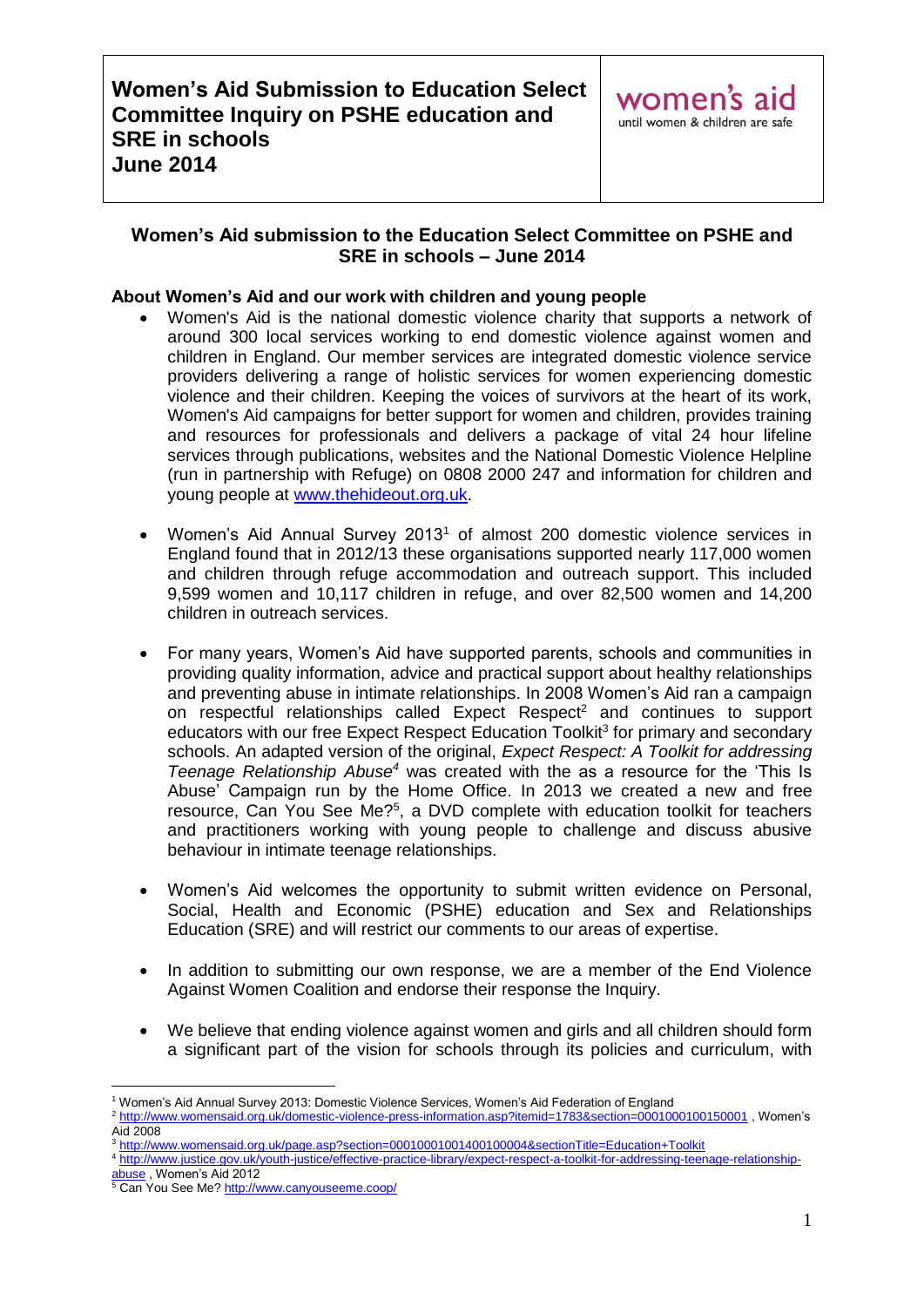# **Women's Aid submission to the Education Select Committee on PSHE and SRE in schools – June 2014**

## **About Women's Aid and our work with children and young people**

- Women's Aid is the national domestic violence charity that supports a network of around 300 local services working to end domestic violence against women and children in England. Our member services are integrated domestic violence service providers delivering a range of holistic services for women experiencing domestic violence and their children. Keeping the voices of survivors at the heart of its work, Women's Aid campaigns for better support for women and children, provides training and resources for professionals and delivers a package of vital 24 hour lifeline services through publications, websites and the National Domestic Violence Helpline (run in partnership with Refuge) on 0808 2000 247 and information for children and young people at [www.thehideout.org.uk.](http://www.thehideout.org.uk/)
- Women's Aid Annual Survey 2013<sup>1</sup> of almost 200 domestic violence services in England found that in 2012/13 these organisations supported nearly 117,000 women and children through refuge accommodation and outreach support. This included 9,599 women and 10,117 children in refuge, and over 82,500 women and 14,200 children in outreach services.
- For many years, Women's Aid have supported parents, schools and communities in providing quality information, advice and practical support about healthy relationships and preventing abuse in intimate relationships. In 2008 Women's Aid ran a campaign on respectful relationships called Expect Respect<sup>2</sup> and continues to support educators with our free Expect Respect Education Toolkit<sup>3</sup> for primary and secondary schools. An adapted version of the original, *Expect Respect: A Toolkit for addressing Teenage Relationship Abuse<sup>4</sup>* was created with the as a resource for the 'This Is Abuse' Campaign run by the Home Office. In 2013 we created a new and free resource, Can You See Me?<sup>5</sup>, a DVD complete with education toolkit for teachers and practitioners working with young people to challenge and discuss abusive behaviour in intimate teenage relationships.
- Women's Aid welcomes the opportunity to submit written evidence on Personal, Social, Health and Economic (PSHE) education and Sex and Relationships Education (SRE) and will restrict our comments to our areas of expertise.
- In addition to submitting our own response, we are a member of the End Violence Against Women Coalition and endorse their response the Inquiry.
- We believe that ending violence against women and girls and all children should form a significant part of the vision for schools through its policies and curriculum, with

<sup>1</sup> <sup>1</sup> Women's Aid Annual Survey 2013: Domestic Violence Services, Women's Aid Federation of England

<sup>&</sup>lt;sup>2</sup> [http://www.womensaid.org.uk/domestic-violence-press-information.asp?itemid=1783&section=0001000100150001](http://www.womensaid.org.uk/domestic-violence-press-information.asp?itemid=1783§ion=0001000100150001) , Women's Aid 2008

<sup>3</sup> [http://www.womensaid.org.uk/page.asp?section=00010001001400100004&sectionTitle=Education+Toolkit](http://www.womensaid.org.uk/page.asp?section=00010001001400100004§ionTitle=Education+Toolkit)

<sup>4</sup> [http://www.justice.gov.uk/youth-justice/effective-practice-library/expect-respect-a-toolkit-for-addressing-teenage-relationship](http://www.justice.gov.uk/youth-justice/effective-practice-library/expect-respect-a-toolkit-for-addressing-teenage-relationship-abuse)[abuse](http://www.justice.gov.uk/youth-justice/effective-practice-library/expect-respect-a-toolkit-for-addressing-teenage-relationship-abuse), Women's Aid 2012

<sup>&</sup>lt;sup>5</sup> Can You See Me[? http://www.canyouseeme.coop/](http://www.canyouseeme.coop/)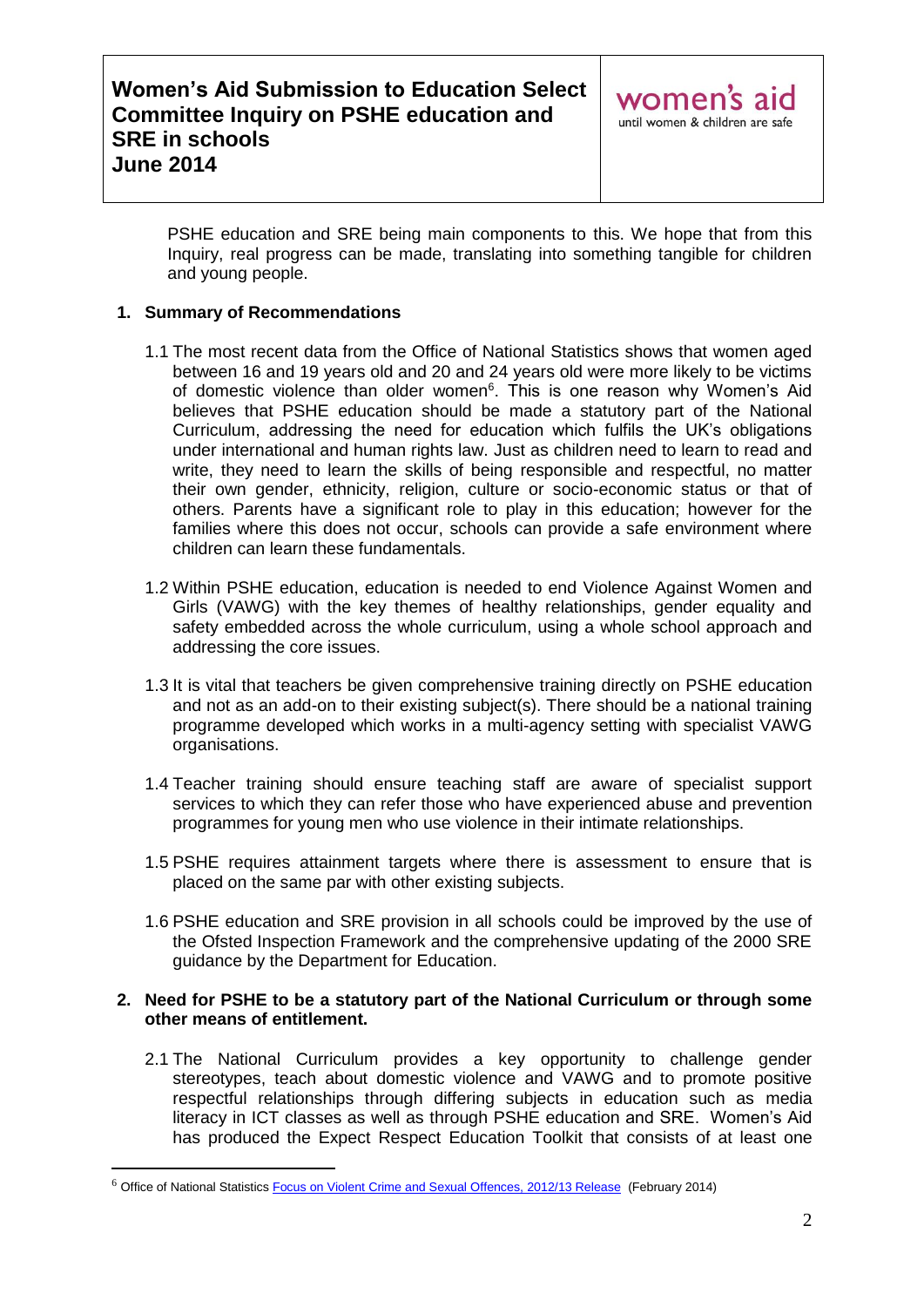PSHE education and SRE being main components to this. We hope that from this Inquiry, real progress can be made, translating into something tangible for children and young people.

## **1. Summary of Recommendations**

- 1.1 The most recent data from the Office of National Statistics shows that women aged between 16 and 19 years old and 20 and 24 years old were more likely to be victims of domestic violence than older women<sup>6</sup>. This is one reason why Women's Aid believes that PSHE education should be made a statutory part of the National Curriculum, addressing the need for education which fulfils the UK's obligations under international and human rights law. Just as children need to learn to read and write, they need to learn the skills of being responsible and respectful, no matter their own gender, ethnicity, religion, culture or socio-economic status or that of others. Parents have a significant role to play in this education; however for the families where this does not occur, schools can provide a safe environment where children can learn these fundamentals.
- 1.2 Within PSHE education, education is needed to end Violence Against Women and Girls (VAWG) with the key themes of healthy relationships, gender equality and safety embedded across the whole curriculum, using a whole school approach and addressing the core issues.
- 1.3 It is vital that teachers be given comprehensive training directly on PSHE education and not as an add-on to their existing subject(s). There should be a national training programme developed which works in a multi-agency setting with specialist VAWG organisations.
- 1.4 Teacher training should ensure teaching staff are aware of specialist support services to which they can refer those who have experienced abuse and prevention programmes for young men who use violence in their intimate relationships.
- 1.5 PSHE requires attainment targets where there is assessment to ensure that is placed on the same par with other existing subjects.
- 1.6 PSHE education and SRE provision in all schools could be improved by the use of the Ofsted Inspection Framework and the comprehensive updating of the 2000 SRE guidance by the Department for Education.

## **2. Need for PSHE to be a statutory part of the National Curriculum or through some other means of entitlement.**

2.1 The National Curriculum provides a key opportunity to challenge gender stereotypes, teach about domestic violence and VAWG and to promote positive respectful relationships through differing subjects in education such as media literacy in ICT classes as well as through PSHE education and SRE. Women's Aid has produced the Expect Respect Education Toolkit that consists of at least one

1

<sup>6</sup> Office of National Statistic[s Focus on Violent Crime and Sexual Offences, 2012/13 Release](http://www.ons.gov.uk/ons/rel/crime-stats/crime-statistics/focus-on-violent-crime-and-sexual-offences--2012-13/index.html) (February 2014)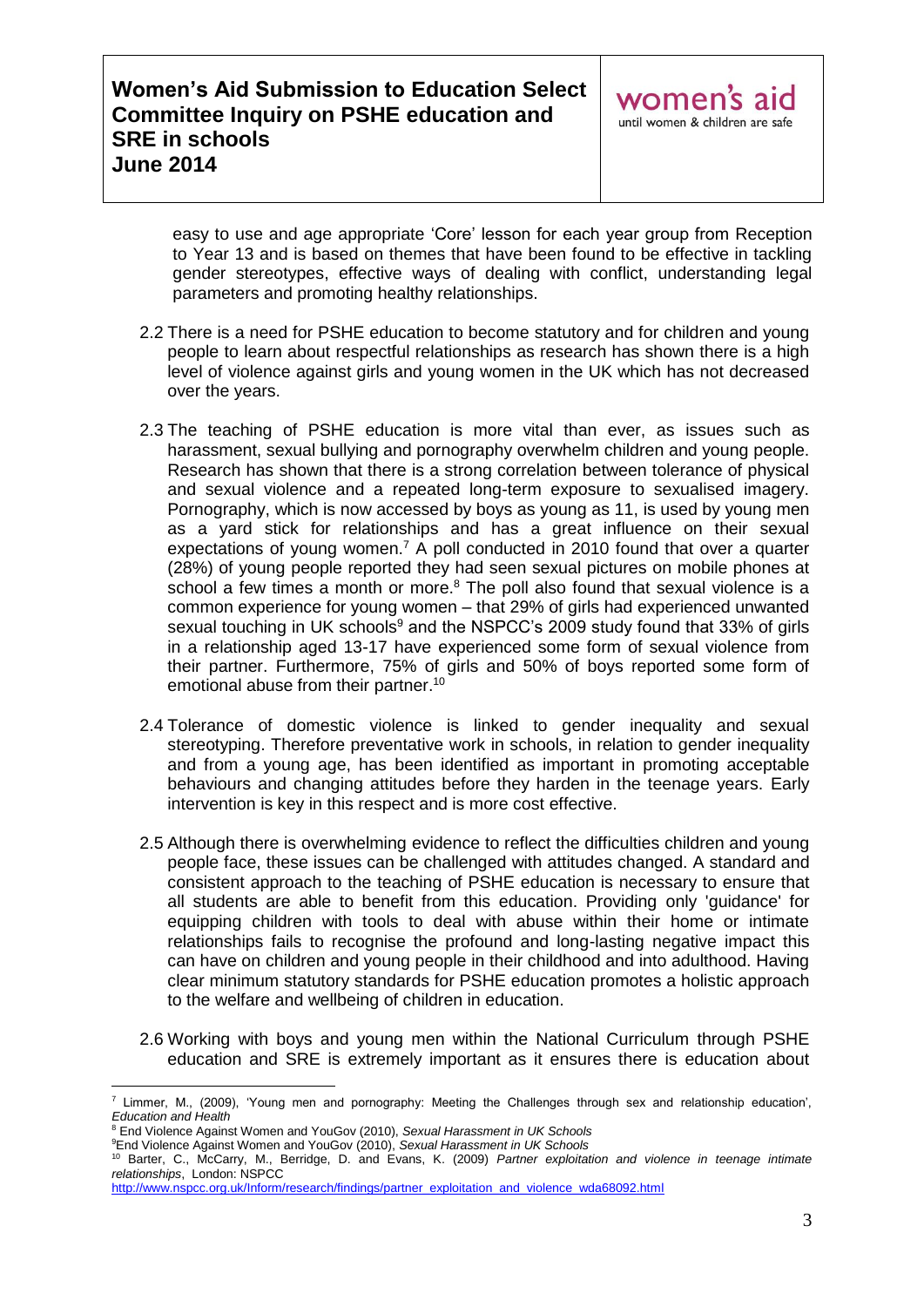easy to use and age appropriate 'Core' lesson for each year group from Reception to Year 13 and is based on themes that have been found to be effective in tackling gender stereotypes, effective ways of dealing with conflict, understanding legal parameters and promoting healthy relationships.

- 2.2 There is a need for PSHE education to become statutory and for children and young people to learn about respectful relationships as research has shown there is a high level of violence against girls and young women in the UK which has not decreased over the years.
- 2.3 The teaching of PSHE education is more vital than ever, as issues such as harassment, sexual bullying and pornography overwhelm children and young people. Research has shown that there is a strong correlation between tolerance of physical and sexual violence and a repeated long-term exposure to sexualised imagery. Pornography, which is now accessed by boys as young as 11, is used by young men as a yard stick for relationships and has a great influence on their sexual expectations of young women.<sup>7</sup> A poll conducted in 2010 found that over a quarter (28%) of young people reported they had seen sexual pictures on mobile phones at school a few times a month or more.<sup>8</sup> The poll also found that sexual violence is a common experience for young women – that 29% of girls had experienced unwanted sexual touching in UK schools<sup>9</sup> and the NSPCC's 2009 study found that 33% of girls in a relationship aged 13-17 have experienced some form of sexual violence from their partner. Furthermore, 75% of girls and 50% of boys reported some form of emotional abuse from their partner.<sup>10</sup>
- 2.4 Tolerance of domestic violence is linked to gender inequality and sexual stereotyping. Therefore preventative work in schools, in relation to gender inequality and from a young age, has been identified as important in promoting acceptable behaviours and changing attitudes before they harden in the teenage years. Early intervention is key in this respect and is more cost effective.
- 2.5 Although there is overwhelming evidence to reflect the difficulties children and young people face, these issues can be challenged with attitudes changed. A standard and consistent approach to the teaching of PSHE education is necessary to ensure that all students are able to benefit from this education. Providing only 'guidance' for equipping children with tools to deal with abuse within their home or intimate relationships fails to recognise the profound and long-lasting negative impact this can have on children and young people in their childhood and into adulthood. Having clear minimum statutory standards for PSHE education promotes a holistic approach to the welfare and wellbeing of children in education.
- 2.6 Working with boys and young men within the National Curriculum through PSHE education and SRE is extremely important as it ensures there is education about

1

 $7$  Limmer, M., (2009), 'Young men and pornography: Meeting the Challenges through sex and relationship education', *Education and Health*

<sup>8</sup> End Violence Against Women and YouGov (2010), *Sexual Harassment in UK Schools*

<sup>9</sup>End Violence Against Women and YouGov (2010), *Sexual Harassment in UK Schools*

<sup>10</sup> Barter, C., McCarry, M., Berridge, D. and Evans, K. (2009) *Partner exploitation and violence in teenage intimate relationships*, London: NSPCC

[http://www.nspcc.org.uk/Inform/research/findings/partner\\_exploitation\\_and\\_violence\\_wda68092.html](http://www.nspcc.org.uk/Inform/research/findings/partner_exploitation_and_violence_wda68092.html)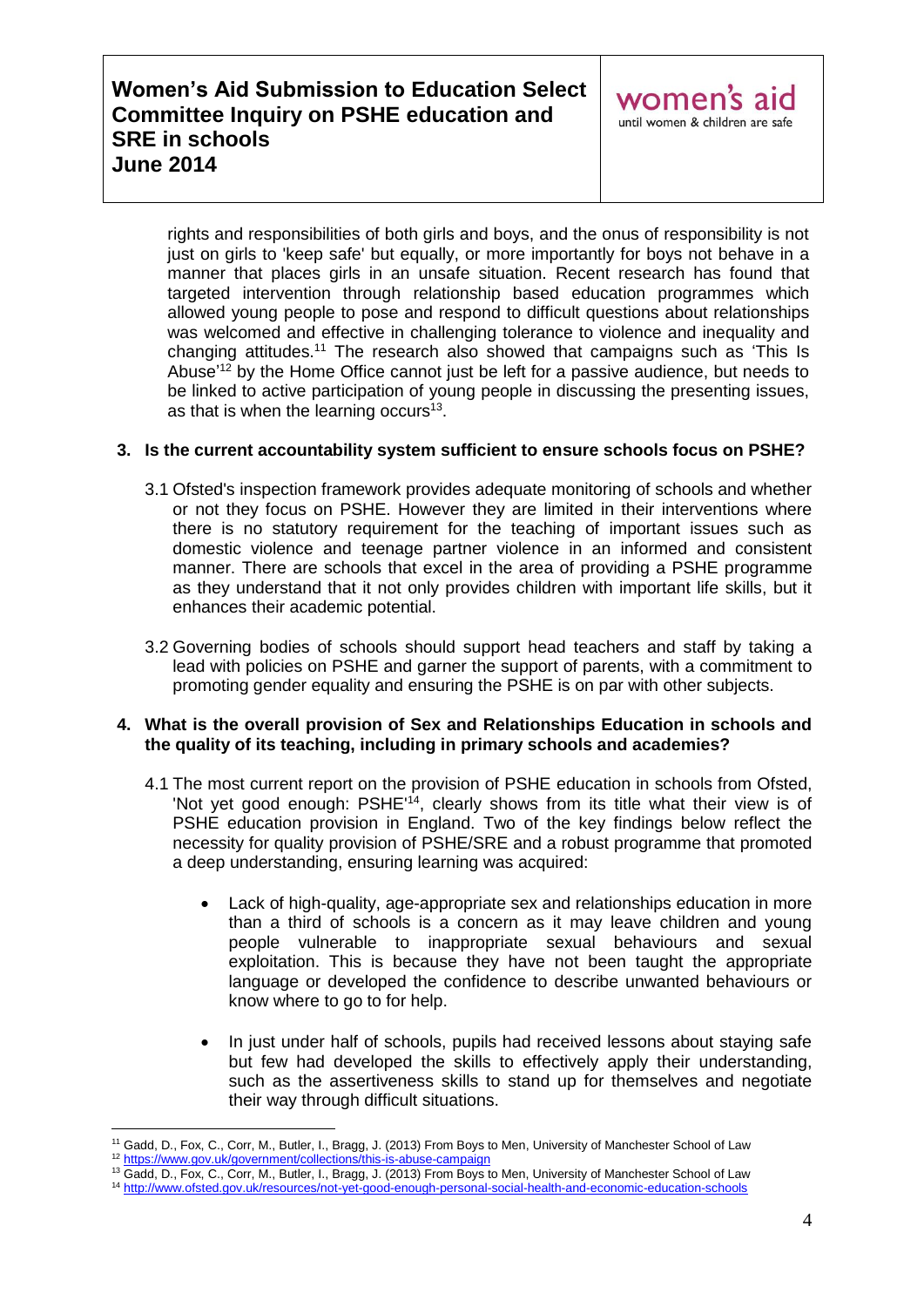rights and responsibilities of both girls and boys, and the onus of responsibility is not just on girls to 'keep safe' but equally, or more importantly for boys not behave in a manner that places girls in an unsafe situation. Recent research has found that targeted intervention through relationship based education programmes which allowed young people to pose and respond to difficult questions about relationships was welcomed and effective in challenging tolerance to violence and inequality and changing attitudes.<sup>11</sup> The research also showed that campaigns such as 'This Is Abuse<sup>'12</sup> by the Home Office cannot just be left for a passive audience, but needs to be linked to active participation of young people in discussing the presenting issues, as that is when the learning occurs<sup>13</sup>.

## **3. Is the current accountability system sufficient to ensure schools focus on PSHE?**

- 3.1 Ofsted's inspection framework provides adequate monitoring of schools and whether or not they focus on PSHE. However they are limited in their interventions where there is no statutory requirement for the teaching of important issues such as domestic violence and teenage partner violence in an informed and consistent manner. There are schools that excel in the area of providing a PSHE programme as they understand that it not only provides children with important life skills, but it enhances their academic potential.
- 3.2 Governing bodies of schools should support head teachers and staff by taking a lead with policies on PSHE and garner the support of parents, with a commitment to promoting gender equality and ensuring the PSHE is on par with other subjects.

## **4. What is the overall provision of Sex and Relationships Education in schools and the quality of its teaching, including in primary schools and academies?**

- 4.1 The most current report on the provision of PSHE education in schools from Ofsted, 'Not yet good enough: PSHE<sup>114</sup>, clearly shows from its title what their view is of PSHE education provision in England. Two of the key findings below reflect the necessity for quality provision of PSHE/SRE and a robust programme that promoted a deep understanding, ensuring learning was acquired:
	- Lack of high-quality, age-appropriate sex and relationships education in more than a third of schools is a concern as it may leave children and young people vulnerable to inappropriate sexual behaviours and sexual exploitation. This is because they have not been taught the appropriate language or developed the confidence to describe unwanted behaviours or know where to go to for help.
	- In just under half of schools, pupils had received lessons about staying safe but few had developed the skills to effectively apply their understanding, such as the assertiveness skills to stand up for themselves and negotiate their way through difficult situations.

<sup>&</sup>lt;u>.</u> <sup>11</sup> Gadd, D., Fox, C., Corr, M., Butler, I., Bragg, J. (2013) From Boys to Men, University of Manchester School of Law

<sup>12</sup> <https://www.gov.uk/government/collections/this-is-abuse-campaign>

<sup>&</sup>lt;sup>13</sup> Gadd, D., Fox, C., Corr, M., Butler, I., Bragg, J. (2013) From Boys to Men, University of Manchester School of Law

<sup>14</sup> <http://www.ofsted.gov.uk/resources/not-yet-good-enough-personal-social-health-and-economic-education-schools>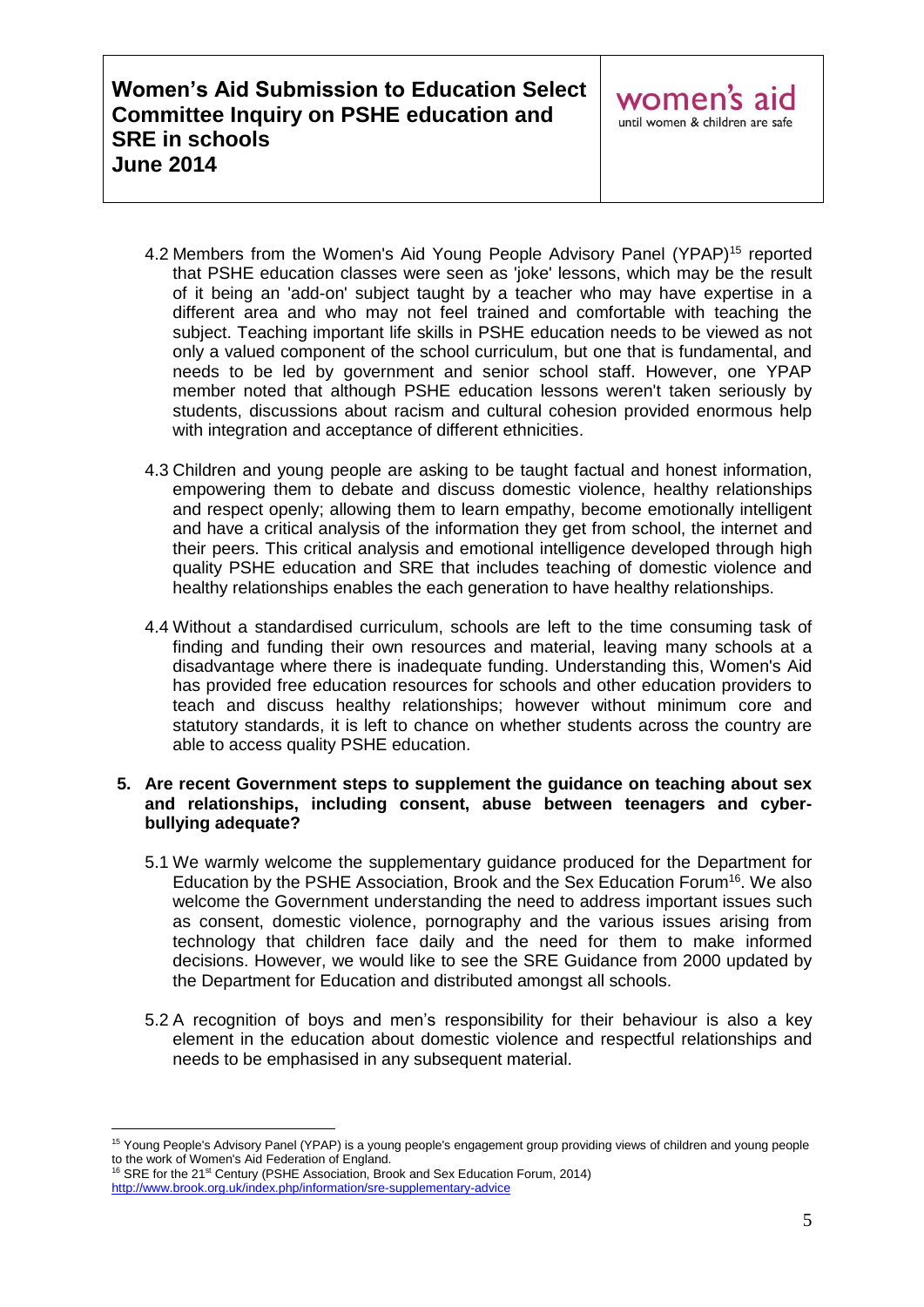

- 4.2 Members from the Women's Aid Young People Advisory Panel (YPAP)<sup>15</sup> reported that PSHE education classes were seen as 'joke' lessons, which may be the result of it being an 'add-on' subject taught by a teacher who may have expertise in a different area and who may not feel trained and comfortable with teaching the subject. Teaching important life skills in PSHE education needs to be viewed as not only a valued component of the school curriculum, but one that is fundamental, and needs to be led by government and senior school staff. However, one YPAP member noted that although PSHE education lessons weren't taken seriously by students, discussions about racism and cultural cohesion provided enormous help with integration and acceptance of different ethnicities.
- 4.3 Children and young people are asking to be taught factual and honest information, empowering them to debate and discuss domestic violence, healthy relationships and respect openly; allowing them to learn empathy, become emotionally intelligent and have a critical analysis of the information they get from school, the internet and their peers. This critical analysis and emotional intelligence developed through high quality PSHE education and SRE that includes teaching of domestic violence and healthy relationships enables the each generation to have healthy relationships.
- 4.4 Without a standardised curriculum, schools are left to the time consuming task of finding and funding their own resources and material, leaving many schools at a disadvantage where there is inadequate funding. Understanding this, Women's Aid has provided free education resources for schools and other education providers to teach and discuss healthy relationships; however without minimum core and statutory standards, it is left to chance on whether students across the country are able to access quality PSHE education.

#### **5. Are recent Government steps to supplement the guidance on teaching about sex and relationships, including consent, abuse between teenagers and cyberbullying adequate?**

- 5.1 We warmly welcome the supplementary guidance produced for the Department for Education by the PSHE Association, Brook and the Sex Education Forum<sup>16</sup>. We also welcome the Government understanding the need to address important issues such as consent, domestic violence, pornography and the various issues arising from technology that children face daily and the need for them to make informed decisions. However, we would like to see the SRE Guidance from 2000 updated by the Department for Education and distributed amongst all schools.
- 5.2 A recognition of boys and men's responsibility for their behaviour is also a key element in the education about domestic violence and respectful relationships and needs to be emphasised in any subsequent material.

<u>.</u>

<sup>15</sup> Young People's Advisory Panel (YPAP) is a young people's engagement group providing views of children and young people to the work of Women's Aid Federation of England.

<sup>&</sup>lt;sup>16</sup> SRE for the 21<sup>st</sup> Century (PSHE Association, Brook and Sex Education Forum, 2014)

<http://www.brook.org.uk/index.php/information/sre-supplementary-advice>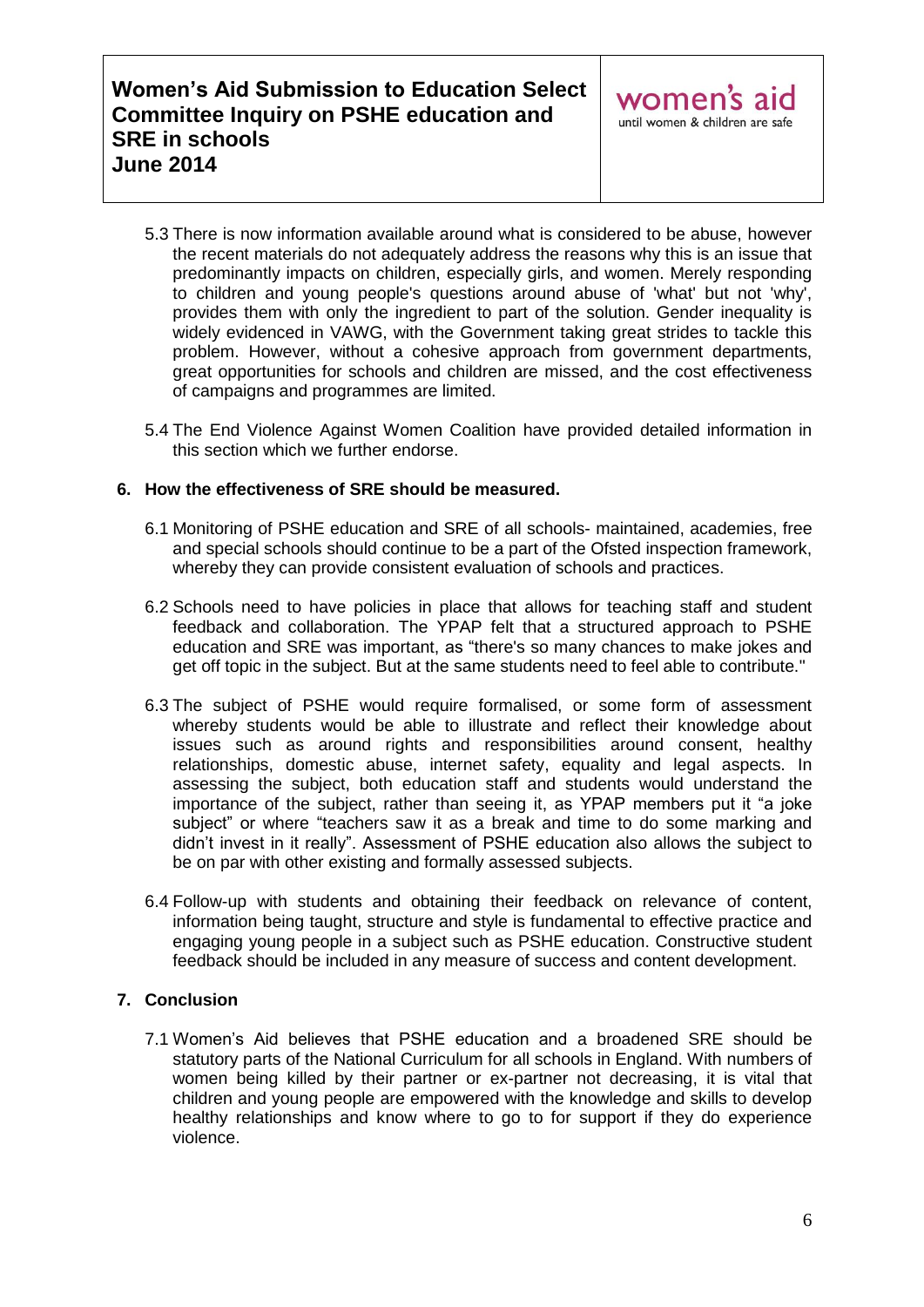- 5.3 There is now information available around what is considered to be abuse, however the recent materials do not adequately address the reasons why this is an issue that predominantly impacts on children, especially girls, and women. Merely responding to children and young people's questions around abuse of 'what' but not 'why', provides them with only the ingredient to part of the solution. Gender inequality is widely evidenced in VAWG, with the Government taking great strides to tackle this problem. However, without a cohesive approach from government departments, great opportunities for schools and children are missed, and the cost effectiveness of campaigns and programmes are limited.
- 5.4 The End Violence Against Women Coalition have provided detailed information in this section which we further endorse.

## **6. How the effectiveness of SRE should be measured.**

- 6.1 Monitoring of PSHE education and SRE of all schools- maintained, academies, free and special schools should continue to be a part of the Ofsted inspection framework, whereby they can provide consistent evaluation of schools and practices.
- 6.2 Schools need to have policies in place that allows for teaching staff and student feedback and collaboration. The YPAP felt that a structured approach to PSHE education and SRE was important, as "there's so many chances to make jokes and get off topic in the subject. But at the same students need to feel able to contribute."
- 6.3 The subject of PSHE would require formalised, or some form of assessment whereby students would be able to illustrate and reflect their knowledge about issues such as around rights and responsibilities around consent, healthy relationships, domestic abuse, internet safety, equality and legal aspects. In assessing the subject, both education staff and students would understand the importance of the subject, rather than seeing it, as YPAP members put it "a joke subject" or where "teachers saw it as a break and time to do some marking and didn't invest in it really". Assessment of PSHE education also allows the subject to be on par with other existing and formally assessed subjects.
- 6.4 Follow-up with students and obtaining their feedback on relevance of content, information being taught, structure and style is fundamental to effective practice and engaging young people in a subject such as PSHE education. Constructive student feedback should be included in any measure of success and content development.

## **7. Conclusion**

7.1 Women's Aid believes that PSHE education and a broadened SRE should be statutory parts of the National Curriculum for all schools in England. With numbers of women being killed by their partner or ex-partner not decreasing, it is vital that children and young people are empowered with the knowledge and skills to develop healthy relationships and know where to go to for support if they do experience violence.